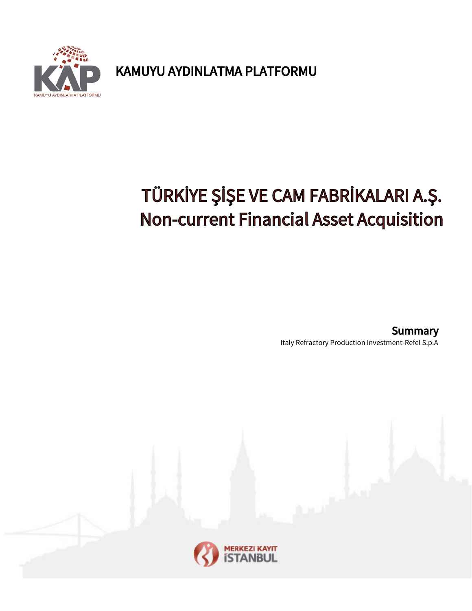

KAMUYU AYDINLATMA PLATFORMU

## TÜRKİYE ŞİŞE VE CAM FABRİKALARI A.Ş. Non-current Financial Asset Acquisition

Italy Refractory Production Investment-Refel S.p.A **Summary** 

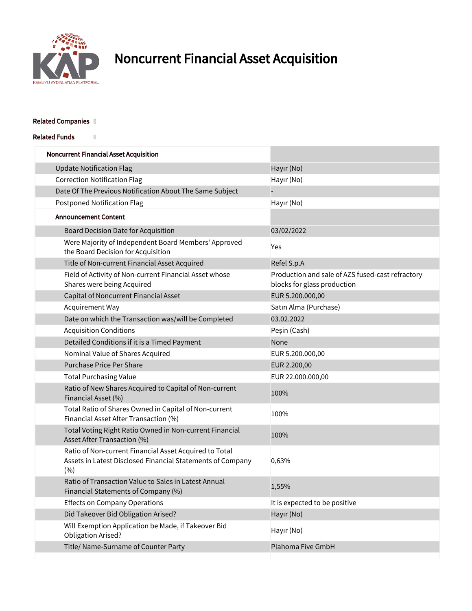

## Noncurrent Financial Asset Acquisition

## Related Companies []

Related Funds []

| <b>Noncurrent Financial Asset Acquisition</b>                                                                               |                                                                                 |
|-----------------------------------------------------------------------------------------------------------------------------|---------------------------------------------------------------------------------|
| <b>Update Notification Flag</b>                                                                                             | Hayır (No)                                                                      |
| <b>Correction Notification Flag</b>                                                                                         | Hayır (No)                                                                      |
| Date Of The Previous Notification About The Same Subject                                                                    |                                                                                 |
| <b>Postponed Notification Flag</b>                                                                                          | Hayır (No)                                                                      |
| <b>Announcement Content</b>                                                                                                 |                                                                                 |
| Board Decision Date for Acquisition                                                                                         | 03/02/2022                                                                      |
| Were Majority of Independent Board Members' Approved<br>the Board Decision for Acquisition                                  | Yes                                                                             |
| Title of Non-current Financial Asset Acquired                                                                               | Refel S.p.A                                                                     |
| Field of Activity of Non-current Financial Asset whose<br>Shares were being Acquired                                        | Production and sale of AZS fused-cast refractory<br>blocks for glass production |
| Capital of Noncurrent Financial Asset                                                                                       | EUR 5.200.000,00                                                                |
| Acquirement Way                                                                                                             | Satın Alma (Purchase)                                                           |
| Date on which the Transaction was/will be Completed                                                                         | 03.02.2022                                                                      |
| <b>Acquisition Conditions</b>                                                                                               | Peşin (Cash)                                                                    |
| Detailed Conditions if it is a Timed Payment                                                                                | None                                                                            |
| Nominal Value of Shares Acquired                                                                                            | EUR 5.200.000,00                                                                |
| <b>Purchase Price Per Share</b>                                                                                             | EUR 2.200,00                                                                    |
| <b>Total Purchasing Value</b>                                                                                               | EUR 22.000.000,00                                                               |
| Ratio of New Shares Acquired to Capital of Non-current<br>Financial Asset (%)                                               | 100%                                                                            |
| Total Ratio of Shares Owned in Capital of Non-current<br>Financial Asset After Transaction (%)                              | 100%                                                                            |
| Total Voting Right Ratio Owned in Non-current Financial<br>Asset After Transaction (%)                                      | 100%                                                                            |
| Ratio of Non-current Financial Asset Acquired to Total<br>Assets in Latest Disclosed Financial Statements of Company<br>(%) | 0,63%                                                                           |
| Ratio of Transaction Value to Sales in Latest Annual<br>Financial Statements of Company (%)                                 | 1,55%                                                                           |
| <b>Effects on Company Operations</b>                                                                                        | It is expected to be positive                                                   |
| Did Takeover Bid Obligation Arised?                                                                                         | Hayır (No)                                                                      |
| Will Exemption Application be Made, if Takeover Bid<br>Obligation Arised?                                                   | Hayır (No)                                                                      |
| Title/ Name-Surname of Counter Party                                                                                        | Plahoma Five GmbH                                                               |
|                                                                                                                             |                                                                                 |